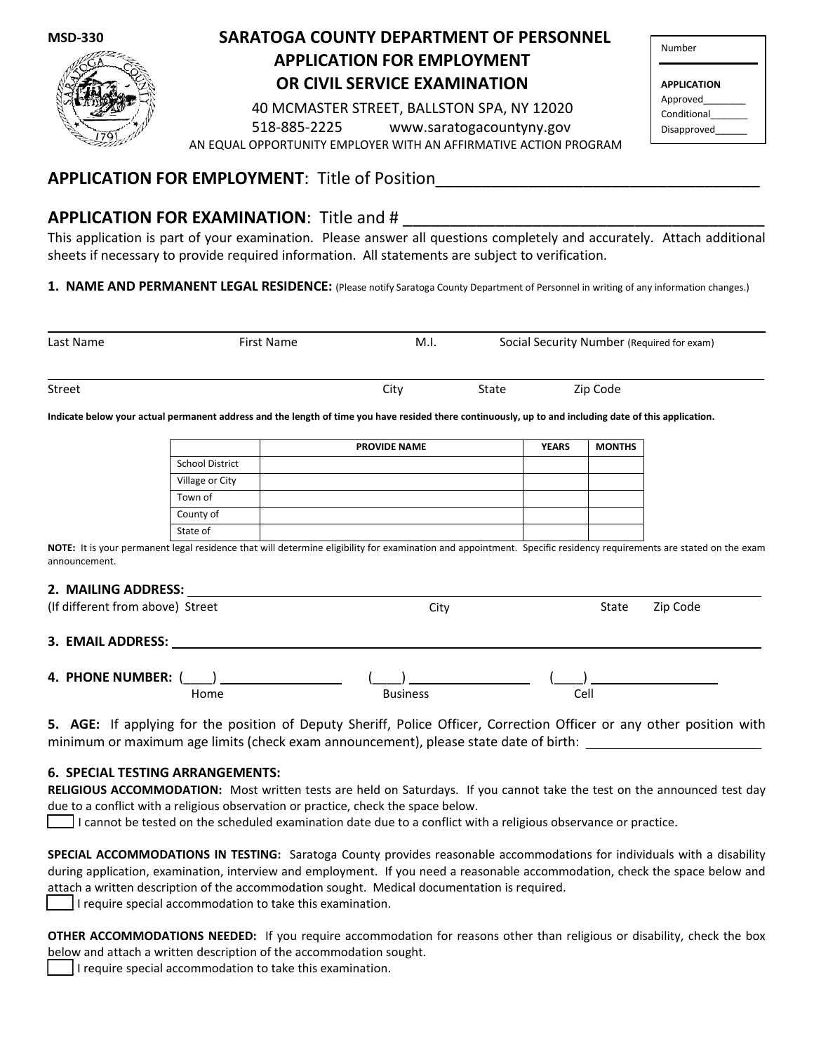

# **APPLICATION FOR EMPLOYMENT OR CIVIL SERVICE EXAMINATION SARATOGA COUNTY DEPARTMENT OF PERSONNEL**

40 MCMASTER STREET, BALLSTON SPA, NY 12020 518-885-2225 www.saratogacountyny.gov AN EQUAL OPPORTUNITY EMPLOYER WITH AN AFFIRMATIVE ACTION PROGRAM

| Number             |  |
|--------------------|--|
| <b>APPLICATION</b> |  |
| Approved           |  |
| Conditional        |  |
| Disapproved        |  |

## **APPLICATION FOR EMPLOYMENT: Title of Position**

## **APPLICATION FOR EXAMINATION: Title and #**

This application is part of your examination. Please answer all questions completely and accurately. Attach additional sheets if necessary to provide required information. All statements are subject to verification.

**1. NAME AND PERMANENT LEGAL RESIDENCE:** (Please notify Saratoga County Department of Personnel in writing of any information changes.)

| Last Name     | <b>First Name</b> | M.I. |       | Social Security Number (Required for exam) |  |
|---------------|-------------------|------|-------|--------------------------------------------|--|
| <b>Street</b> |                   | City | State | Zip Code                                   |  |

**Indicate below your actual permanent address and the length of time you have resided there continuously, up to and including date of this application.**

|                        | <b>PROVIDE NAME</b> | <b>YEARS</b> | <b>MONTHS</b> |
|------------------------|---------------------|--------------|---------------|
| <b>School District</b> |                     |              |               |
| Village or City        |                     |              |               |
| Town of                |                     |              |               |
| County of              |                     |              |               |
| State of               |                     |              |               |

NOTE: It is your permanent legal residence that will determine eligibility for examination and appointment. Specific residency requirements are stated on the exam announcement.

#### **2. MAILING ADDRESS:**

| (If different from above) Street |      | City            | State | Zip Code |
|----------------------------------|------|-----------------|-------|----------|
| 3. EMAIL ADDRESS:                |      |                 |       |          |
| 4. PHONE NUMBER: (               | Home | <b>Business</b> | Cell  |          |

**5. AGE:** If applying for the position of Deputy Sheriff, Police Officer, Correction Officer or any other position with minimum or maximum age limits (check exam announcement), please state date of birth:

## **6. SPECIAL TESTING ARRANGEMENTS:**

**RELIGIOUS ACCOMMODATION:** Most written tests are held on Saturdays. If you cannot take the test on the announced test day due to a conflict with a religious observation or practice, check the space below.

I cannot be tested on the scheduled examination date due to a conflict with a religious observance or practice.

**SPECIAL ACCOMMODATIONS IN TESTING:** Saratoga County provides reasonable accommodations for individuals with a disability during application, examination, interview and employment. If you need a reasonable accommodation, check the space below and attach a written description of the accommodation sought. Medical documentation is required.

I require special accommodation to take this examination.

**OTHER ACCOMMODATIONS NEEDED:** If you require accommodation for reasons other than religious or disability, check the box below and attach a written description of the accommodation sought.

\_\_\_\_ I require special accommodation to take this examination.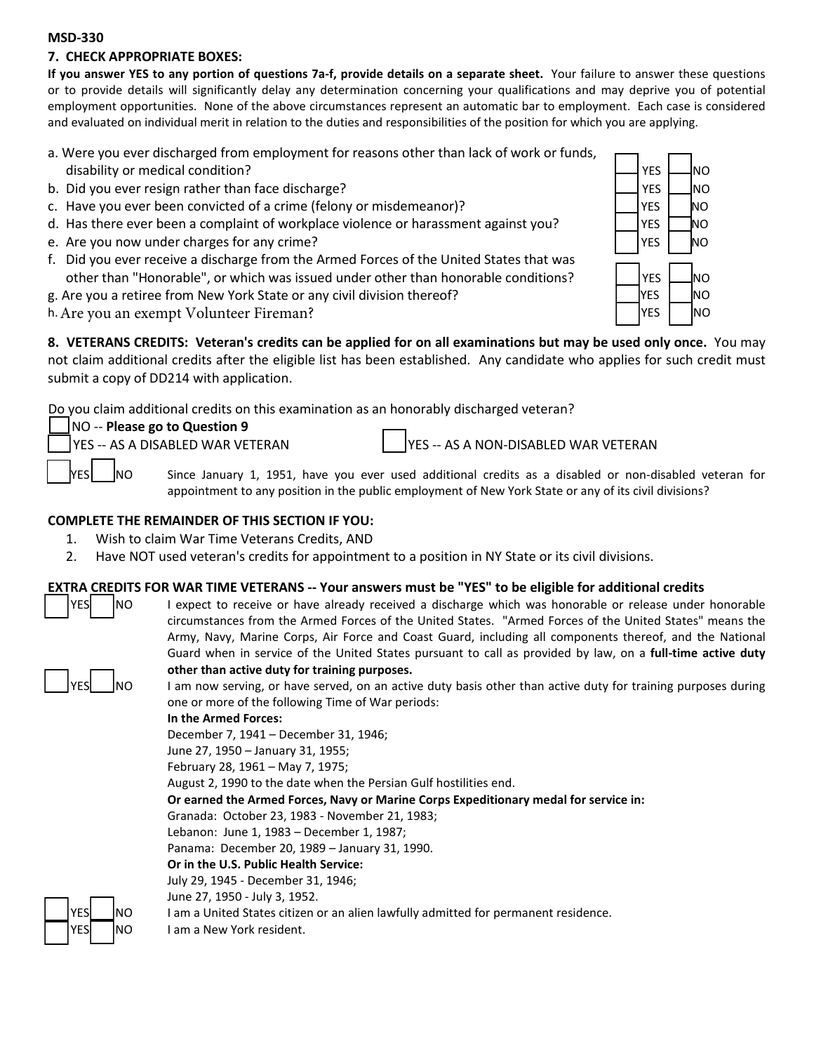#### **7. CHECK APPROPRIATE BOXES:**

**If you answer YES to any portion of questions 7a-f, provide details on a separate sheet.** Your failure to answer these questions or to provide details will significantly delay any determination concerning your qualifications and may deprive you of potential employment opportunities. None of the above circumstances represent an automatic bar to employment. Each case is considered and evaluated on individual merit in relation to the duties and responsibilities of the position for which you are applying.

- a. Were you ever discharged from employment for reasons other than lack of work or funds, disability or medical condition?
- b. Did you ever resign rather than face discharge?
- c. Have you ever been convicted of a crime (felony or misdemeanor)?
- d. Has there ever been a complaint of workplace violence or harassment against you?  $\Box$  YES  $\Box$ NO
- e. Are you now under charges for any crime? \_\_ YES \_\_ NO
- f. Did you ever receive a discharge from the Armed Forces of the United States that was other than "Honorable", or which was issued under other than honorable conditions?
- g. Are you a retiree from New York State or any civil division thereof?

h. Are you an exempt Volunteer Fireman?

**8. VETERANS CREDITS: Veteran's credits can be applied for on all examinations but may be used only once.** You may not claim additional credits after the eligible list has been established. Any candidate who applies for such credit must submit a copy of DD214 with application.

Do you claim additional credits on this examination as an honorably discharged veteran?

NO -- **Please go to Question 9**

YES -- AS A DISABLED WAR VETERAN YES -- AS A NON-DISABLED WAR VETERAN

NO Since January 1, 1951, have you ever used additional credits as a disabled or non-disabled veteran for appointment to any position in the public employment of New York State or any of its civil divisions?

## **COMPLETE THE REMAINDER OF THIS SECTION IF YOU:**

- 1. Wish to claim War Time Veterans Credits, AND
- 2. Have NOT used veteran's credits for appointment to a position in NY State or its civil divisions.

## **EXTRA CREDITS FOR WAR TIME VETERANS -- Your answers must be "YES" to be eligible for additional credits**

YES | NO I expect to receive or have already received a discharge which was honorable or release under honorable circumstances from the Armed Forces of the United States. "Armed Forces of the United States" means the Army, Navy, Marine Corps, Air Force and Coast Guard, including all components thereof, and the National Guard when in service of the United States pursuant to call as provided by law, on a **full-time active duty other than active duty for training purposes.**  I am now serving, or have served, on an active duty basis other than active duty for training purposes during one or more of the following Time of War periods:

**In the Armed Forces:**

December 7, 1941 – December 31, 1946;

June 27, 1950 – January 31, 1955;

February 28, 1961 – May 7, 1975; August 2, 1990 to the date when the Persian Gulf hostilities end.

**Or earned the Armed Forces, Navy or Marine Corps Expeditionary medal for service in:**

Granada: October 23, 1983 - November 21, 1983;

Lebanon: June 1, 1983 – December 1, 1987;

Panama: December 20, 1989 – January 31, 1990.

#### **Or in the U.S. Public Health Service:**

July 29, 1945 - December 31, 1946;

June 27, 1950 - July 3, 1952.

NO I am a United States citizen or an alien lawfully admitted for permanent residence.



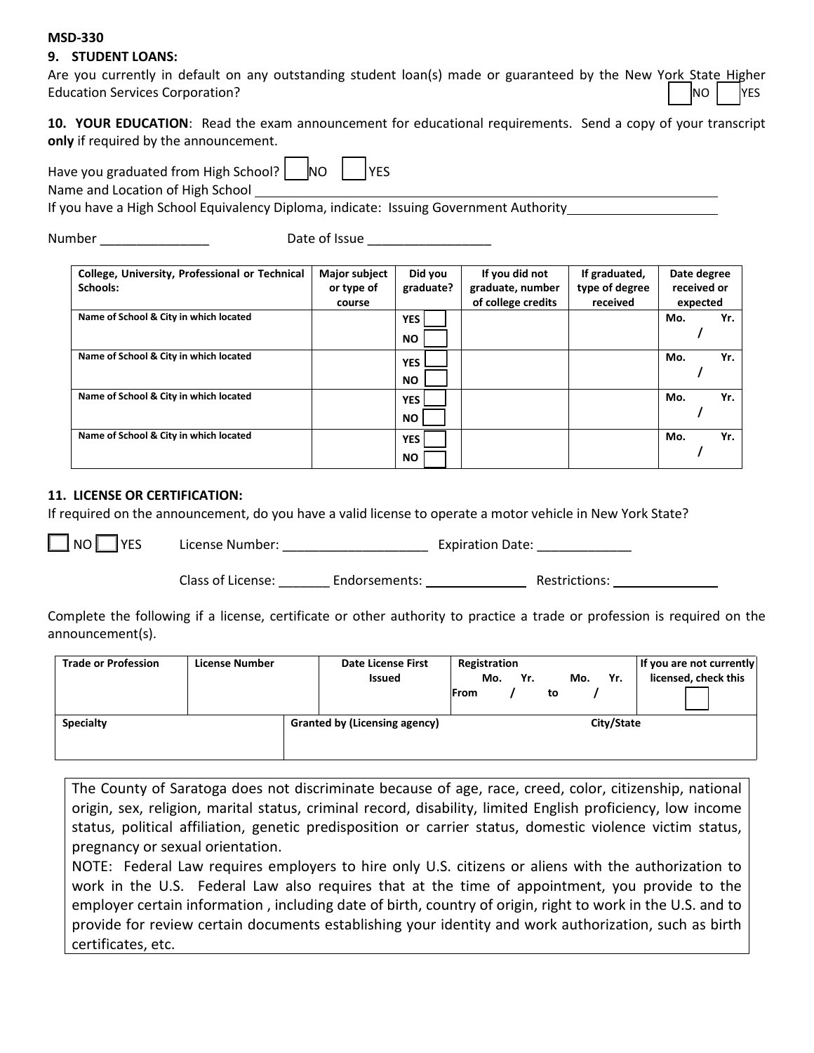## **9. STUDENT LOANS:**

Are you currently in default on any outstanding student loan(s) made or guaranteed by the New York State Higher Education Services Corporation? \_\_\_ NO \_\_\_ YES

**10. YOUR EDUCATION**: Read the exam announcement for educational requirements. Send a copy of your transcript **only** if required by the announcement.

Have you graduated from High School?  $\Box$  NO  $\Box$  YES

Name and Location of High School

If you have a High School Equivalency Diploma, indicate: Issuing Government Authority

Number \_\_\_\_\_\_\_\_\_\_\_\_\_\_\_ Date of Issue \_\_\_\_\_\_\_\_\_\_\_\_\_\_\_\_\_

| College, University, Professional or Technical | <b>Major subject</b> | Did you    | If you did not     | If graduated,  | Date degree |     |
|------------------------------------------------|----------------------|------------|--------------------|----------------|-------------|-----|
| Schools:                                       | or type of           | graduate?  | graduate, number   | type of degree | received or |     |
|                                                | course               |            | of college credits | received       | expected    |     |
| Name of School & City in which located         |                      | <b>YES</b> |                    |                | Mo.         | Yr. |
|                                                |                      | <b>NO</b>  |                    |                |             |     |
| Name of School & City in which located         |                      | <b>YES</b> |                    |                | Mo.         | Yr. |
|                                                |                      | <b>NO</b>  |                    |                |             |     |
| Name of School & City in which located         |                      | <b>YES</b> |                    |                | Mo.         | Yr. |
|                                                |                      | <b>NO</b>  |                    |                |             |     |
| Name of School & City in which located         |                      | <b>YES</b> |                    |                | Mo.         | Yr. |
|                                                |                      | <b>NO</b>  |                    |                |             |     |

## **11. LICENSE OR CERTIFICATION:**

If required on the announcement, do you have a valid license to operate a motor vehicle in New York State?

\_\_\_ NO \_\_\_ YES License Number: \_\_\_\_\_\_\_\_\_\_\_\_\_\_\_\_\_\_\_\_ Expiration Date: \_\_\_\_\_\_\_\_\_\_\_\_\_

Class of License: The Endorsements: The Restrictions: Restrictions:

Complete the following if a license, certificate or other authority to practice a trade or profession is required on the announcement(s).

| <b>Trade or Profession</b> | <b>License Number</b> | <b>Date License First</b><br><b>Issued</b> | Registration<br>Yr.<br>Mo.<br><b>IFrom</b><br>to | Yr.<br>Mo. | If you are not currently<br>licensed, check this |
|----------------------------|-----------------------|--------------------------------------------|--------------------------------------------------|------------|--------------------------------------------------|
| <b>Specialty</b>           |                       | <b>Granted by (Licensing agency)</b>       |                                                  | City/State |                                                  |

The County of Saratoga does not discriminate because of age, race, creed, color, citizenship, national origin, sex, religion, marital status, criminal record, disability, limited English proficiency, low income status, political affiliation, genetic predisposition or carrier status, domestic violence victim status, pregnancy or sexual orientation.

NOTE: Federal Law requires employers to hire only U.S. citizens or aliens with the authorization to work in the U.S. Federal Law also requires that at the time of appointment, you provide to the employer certain information , including date of birth, country of origin, right to work in the U.S. and to provide for review certain documents establishing your identity and work authorization, such as birth certificates, etc.